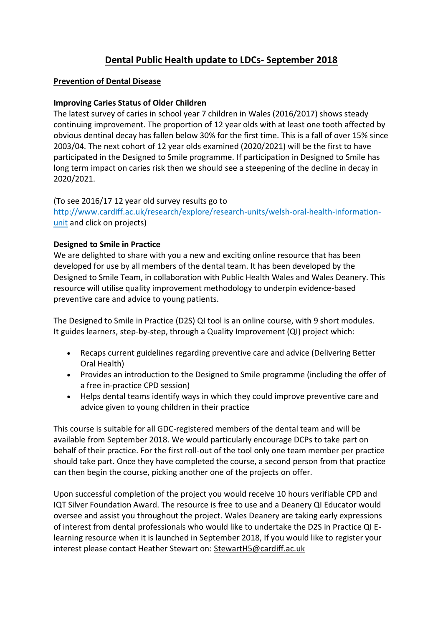# **Dental Public Health update to LDCs- September 2018**

## **Prevention of Dental Disease**

#### **Improving Caries Status of Older Children**

The latest survey of caries in school year 7 children in Wales (2016/2017) shows steady continuing improvement. The proportion of 12 year olds with at least one tooth affected by obvious dentinal decay has fallen below 30% for the first time. This is a fall of over 15% since 2003/04. The next cohort of 12 year olds examined (2020/2021) will be the first to have participated in the Designed to Smile programme. If participation in Designed to Smile has long term impact on caries risk then we should see a steepening of the decline in decay in 2020/2021.

#### (To see 2016/17 12 year old survey results go to

[http://www.cardiff.ac.uk/research/explore/research-units/welsh-oral-health-information](http://www.cardiff.ac.uk/research/explore/research-units/welsh-oral-health-information-unit)[unit](http://www.cardiff.ac.uk/research/explore/research-units/welsh-oral-health-information-unit) and click on projects)

#### **Designed to Smile in Practice**

We are delighted to share with you a new and exciting online resource that has been developed for use by all members of the dental team. It has been developed by the Designed to Smile Team, in collaboration with Public Health Wales and Wales Deanery. This resource will utilise quality improvement methodology to underpin evidence-based preventive care and advice to young patients.

The Designed to Smile in Practice (D2S) QI tool is an online course, with 9 short modules. It guides learners, step-by-step, through a Quality Improvement (QI) project which:

- Recaps current guidelines regarding preventive care and advice (Delivering Better Oral Health)
- Provides an introduction to the Designed to Smile programme (including the offer of a free in-practice CPD session)
- Helps dental teams identify ways in which they could improve preventive care and advice given to young children in their practice

This course is suitable for all GDC-registered members of the dental team and will be available from September 2018. We would particularly encourage DCPs to take part on behalf of their practice. For the first roll-out of the tool only one team member per practice should take part. Once they have completed the course, a second person from that practice can then begin the course, picking another one of the projects on offer.

Upon successful completion of the project you would receive 10 hours verifiable CPD and IQT Silver Foundation Award. The resource is free to use and a Deanery QI Educator would oversee and assist you throughout the project. Wales Deanery are taking early expressions of interest from dental professionals who would like to undertake the D2S in Practice QI Elearning resource when it is launched in September 2018, If you would like to register your interest please contact Heather Stewart on: [StewartH5@cardiff.ac.uk](mailto:StewartH5@cardiff.ac.uk?subject=Designed%20to%20Smile%20In-practice%20-%20Expression%20of%20Interest)